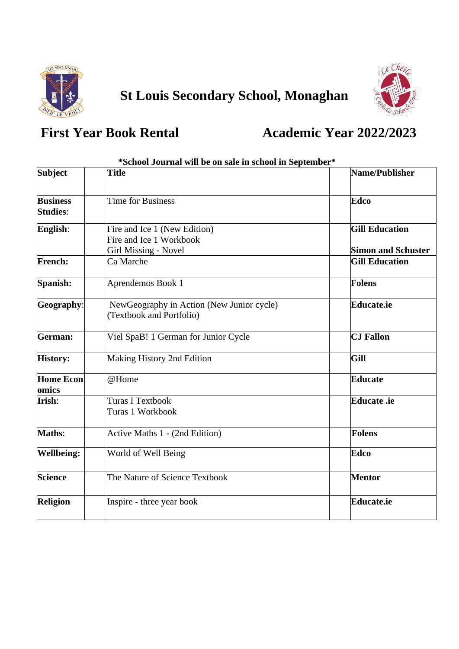

# **St Louis Secondary School, Monaghan**



### **First Year Book Rental Academic Year 2022/2023**

| *School Journal will be on sale in school in September* |                                                                                        |                                                    |  |
|---------------------------------------------------------|----------------------------------------------------------------------------------------|----------------------------------------------------|--|
| <b>Subject</b>                                          | <b>Title</b>                                                                           | Name/Publisher                                     |  |
| <b>Business</b><br><b>Studies:</b>                      | Time for Business                                                                      | Edco                                               |  |
| English:                                                | Fire and Ice 1 (New Edition)<br>Fire and Ice 1 Workbook<br><b>Girl Missing - Novel</b> | <b>Gill Education</b><br><b>Simon and Schuster</b> |  |
| <b>French:</b>                                          | Ca Marche                                                                              | <b>Gill Education</b>                              |  |
| Spanish:                                                | Aprendemos Book 1                                                                      | <b>Folens</b>                                      |  |
| Geography:                                              | NewGeography in Action (New Junior cycle)<br><b>Textbook and Portfolio)</b>            | <b>Educate.ie</b>                                  |  |
| <b>German:</b>                                          | Viel SpaB! 1 German for Junior Cycle                                                   | <b>CJ Fallon</b>                                   |  |
| <b>History:</b>                                         | Making History 2nd Edition                                                             | Gill                                               |  |
| <b>Home Econ</b><br>omics                               | @Home                                                                                  | <b>Educate</b>                                     |  |
| Irish:                                                  | <b>Turas I Textbook</b><br>Turas 1 Workbook                                            | Educate .ie                                        |  |
| <b>Maths:</b>                                           | Active Maths 1 - (2nd Edition)                                                         | <b>Folens</b>                                      |  |
| <b>Wellbeing:</b>                                       | World of Well Being                                                                    | <b>Edco</b>                                        |  |
| <b>Science</b>                                          | The Nature of Science Textbook                                                         | <b>Mentor</b>                                      |  |
| Religion                                                | Inspire - three year book                                                              | <b>Educate.ie</b>                                  |  |